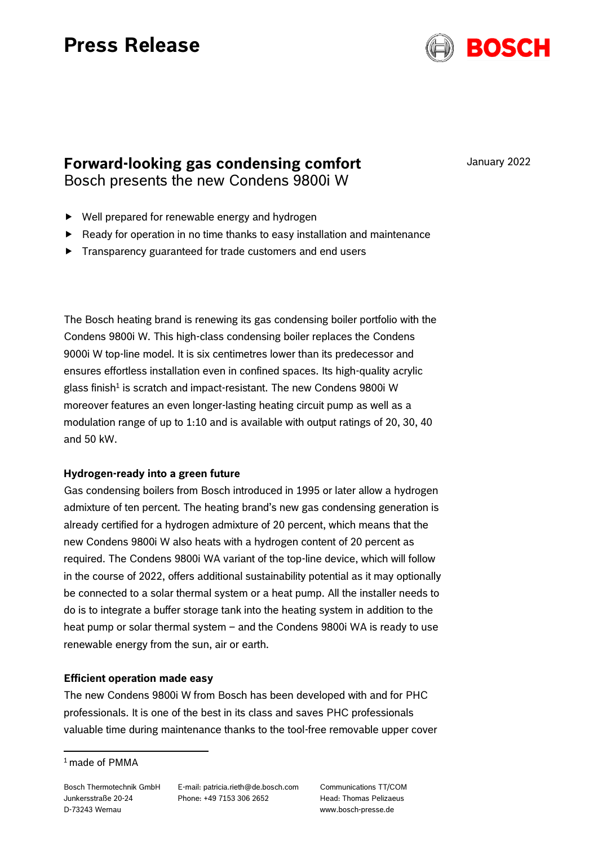# **Press Release**



**Forward-looking gas condensing comfort** Bosch presents the new Condens 9800i W

January 2022

- ▶ Well prepared for renewable energy and hydrogen
- ▶ Ready for operation in no time thanks to easy installation and maintenance
- Transparency guaranteed for trade customers and end users

The Bosch heating brand is renewing its gas condensing boiler portfolio with the Condens 9800i W. This high-class condensing boiler replaces the Condens 9000i W top-line model. It is six centimetres lower than its predecessor and ensures effortless installation even in confined spaces. Its high-quality acrylic glass finish<sup>1</sup> is scratch and impact-resistant. The new Condens 9800i W moreover features an even longer-lasting heating circuit pump as well as a modulation range of up to 1:10 and is available with output ratings of 20, 30, 40 and 50 kW.

# **Hydrogen-ready into a green future**

Gas condensing boilers from Bosch introduced in 1995 or later allow a hydrogen admixture of ten percent. The heating brand's new gas condensing generation is already certified for a hydrogen admixture of 20 percent, which means that the new Condens 9800i W also heats with a hydrogen content of 20 percent as required. The Condens 9800i WA variant of the top-line device, which will follow in the course of 2022, offers additional sustainability potential as it may optionally be connected to a solar thermal system or a heat pump. All the installer needs to do is to integrate a buffer storage tank into the heating system in addition to the heat pump or solar thermal system – and the Condens 9800i WA is ready to use renewable energy from the sun, air or earth.

# **Efficient operation made easy**

The new Condens 9800i W from Bosch has been developed with and for PHC professionals. It is one of the best in its class and saves PHC professionals valuable time during maintenance thanks to the tool-free removable upper cover

E-mail: patricia.rieth@de.bosch.com Phone: +49 7153 306 2652

Communications TT/COM Head: Thomas Pelizaeus www.bosch-presse.de

<sup>&</sup>lt;sup>1</sup> made of PMMA

Bosch Thermotechnik GmbH Junkersstraße 20-24 D-73243 Wernau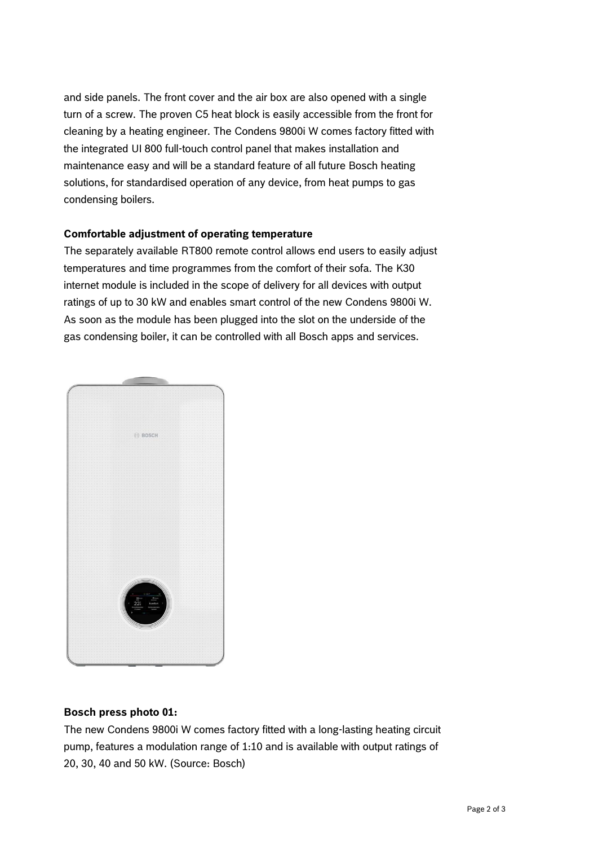and side panels. The front cover and the air box are also opened with a single turn of a screw. The proven C5 heat block is easily accessible from the front for cleaning by a heating engineer. The Condens 9800i W comes factory fitted with the integrated UI 800 full-touch control panel that makes installation and maintenance easy and will be a standard feature of all future Bosch heating solutions, for standardised operation of any device, from heat pumps to gas condensing boilers.

### **Comfortable adjustment of operating temperature**

The separately available RT800 remote control allows end users to easily adjust temperatures and time programmes from the comfort of their sofa. The K30 internet module is included in the scope of delivery for all devices with output ratings of up to 30 kW and enables smart control of the new Condens 9800i W. As soon as the module has been plugged into the slot on the underside of the gas condensing boiler, it can be controlled with all Bosch apps and services.



# **Bosch press photo 01:**

The new Condens 9800i W comes factory fitted with a long-lasting heating circuit pump, features a modulation range of 1:10 and is available with output ratings of 20, 30, 40 and 50 kW. (Source: Bosch)